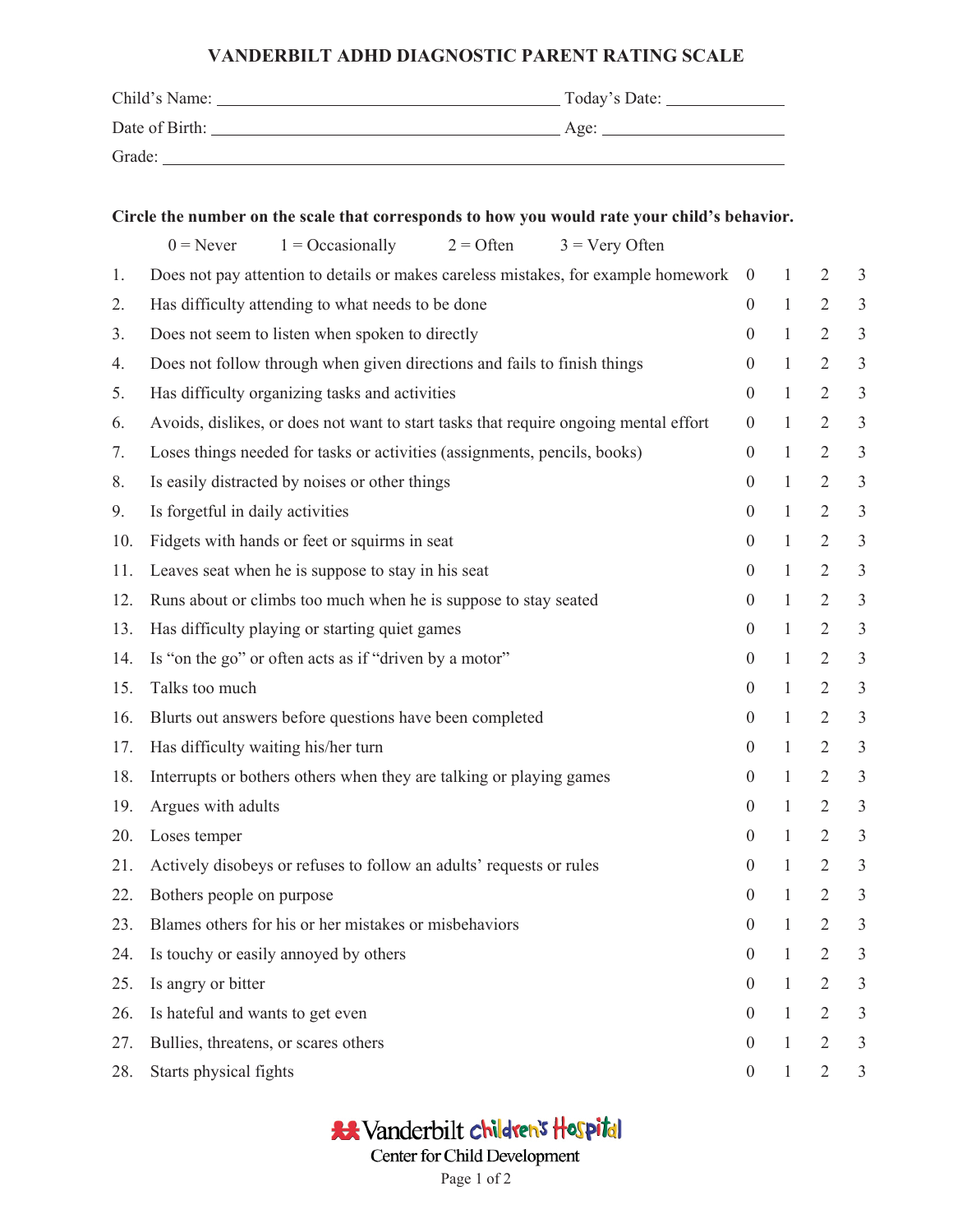## **VANDERBILT ADHD DIAGNOSTIC PARENT RATING SCALE**

| Child's Name:  | Today's Date: |
|----------------|---------------|
| Date of Birth: | Age:          |
| Grade:         |               |

| Circle the number on the scale that corresponds to how you would rate your child's behavior. |                                                                                      |                  |              |                |                |  |
|----------------------------------------------------------------------------------------------|--------------------------------------------------------------------------------------|------------------|--------------|----------------|----------------|--|
|                                                                                              | $1 = Occasionally$<br>$2 =$ Often<br>$3 = \text{Very Often}$<br>$0 =$ Never          |                  |              |                |                |  |
| 1.                                                                                           | Does not pay attention to details or makes careless mistakes, for example homework   | $\overline{0}$   | $\mathbf{1}$ | $\overline{2}$ | 3              |  |
| 2.                                                                                           | Has difficulty attending to what needs to be done                                    | $\overline{0}$   | $\mathbf{1}$ | $\overline{2}$ | $\mathfrak{Z}$ |  |
| 3.                                                                                           | Does not seem to listen when spoken to directly                                      | $\overline{0}$   | $\mathbf{1}$ | $\overline{2}$ | $\mathfrak{Z}$ |  |
| 4.                                                                                           | Does not follow through when given directions and fails to finish things             | $\overline{0}$   | $\mathbf{1}$ | $\overline{2}$ | $\mathfrak{Z}$ |  |
| 5.                                                                                           | Has difficulty organizing tasks and activities                                       |                  |              | $\overline{2}$ | $\mathfrak{Z}$ |  |
| 6.                                                                                           | Avoids, dislikes, or does not want to start tasks that require ongoing mental effort | $\overline{0}$   | $\mathbf{1}$ | $\overline{2}$ | $\sqrt{3}$     |  |
| 7.                                                                                           | Loses things needed for tasks or activities (assignments, pencils, books)            | $\overline{0}$   | $\mathbf{1}$ | $\overline{2}$ | $\sqrt{3}$     |  |
| 8.                                                                                           | Is easily distracted by noises or other things                                       | $\boldsymbol{0}$ | $\mathbf{1}$ | $\overline{2}$ | $\mathfrak{Z}$ |  |
| 9.                                                                                           | Is forgetful in daily activities                                                     | $\overline{0}$   | $\mathbf{1}$ | $\overline{2}$ | $\mathfrak{Z}$ |  |
| 10.                                                                                          | Fidgets with hands or feet or squirms in seat                                        |                  | $\mathbf{1}$ | $\overline{2}$ | $\sqrt{3}$     |  |
| 11.                                                                                          | Leaves seat when he is suppose to stay in his seat                                   |                  | $\mathbf{1}$ | $\overline{2}$ | $\mathfrak{Z}$ |  |
| 12.                                                                                          | Runs about or climbs too much when he is suppose to stay seated                      | $\boldsymbol{0}$ | $\mathbf{1}$ | $\overline{2}$ | $\sqrt{3}$     |  |
| 13.                                                                                          | Has difficulty playing or starting quiet games                                       | $\boldsymbol{0}$ | $\mathbf{1}$ | $\overline{2}$ | $\mathfrak{Z}$ |  |
| 14.                                                                                          | Is "on the go" or often acts as if "driven by a motor"                               | $\overline{0}$   | $\mathbf{1}$ | $\overline{2}$ | $\mathfrak{Z}$ |  |
| 15.                                                                                          | Talks too much                                                                       | $\overline{0}$   | $\mathbf{1}$ | $\overline{2}$ | $\mathfrak{Z}$ |  |
| 16.                                                                                          | Blurts out answers before questions have been completed                              | $\overline{0}$   | $\mathbf{1}$ | $\overline{2}$ | $\mathfrak{Z}$ |  |
| 17.                                                                                          | Has difficulty waiting his/her turn                                                  | $\overline{0}$   | $\mathbf{1}$ | $\overline{2}$ | $\mathfrak{Z}$ |  |
| 18.                                                                                          | Interrupts or bothers others when they are talking or playing games                  | $\overline{0}$   | $\mathbf{1}$ | $\overline{2}$ | $\sqrt{3}$     |  |
| 19.                                                                                          | Argues with adults                                                                   | $\overline{0}$   | $\mathbf{1}$ | $\overline{2}$ | $\mathfrak{Z}$ |  |
| 20.                                                                                          | Loses temper                                                                         | $\boldsymbol{0}$ | $\mathbf{1}$ | $\overline{2}$ | $\mathfrak{Z}$ |  |
| 21.                                                                                          | Actively disobeys or refuses to follow an adults' requests or rules                  | $\overline{0}$   | $\mathbf{1}$ | $\overline{2}$ | $\mathfrak{Z}$ |  |
| 22.                                                                                          | Bothers people on purpose                                                            | $\overline{0}$   | -1           | 2              | 3              |  |
| 23.                                                                                          | Blames others for his or her mistakes or misbehaviors                                |                  | 1            | $\overline{2}$ | 3              |  |
| 24.                                                                                          | Is touchy or easily annoyed by others                                                | $\overline{0}$   | $\mathbf{1}$ | $\overline{2}$ | 3              |  |
| 25.                                                                                          | Is angry or bitter                                                                   | $\overline{0}$   | $\mathbf{1}$ | $\overline{2}$ | 3              |  |
| 26.                                                                                          | Is hateful and wants to get even                                                     | $\theta$         | $\mathbf{1}$ | $\overline{2}$ | 3              |  |
| 27.                                                                                          | Bullies, threatens, or scares others                                                 | $\theta$         | 1            | $\overline{2}$ | 3              |  |
| 28.                                                                                          | Starts physical fights                                                               | $\boldsymbol{0}$ | 1            | $\overline{2}$ | 3              |  |

\*\* Vanderbilt children's Hospital Center for Child Development Page 1 of 2